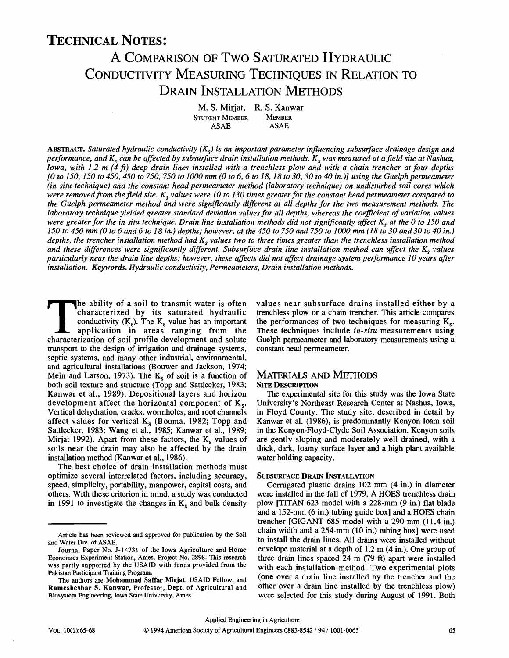# TECHNICAL NOTES:

# A COMPARISON OF TWO SATURATED HYDRAULIC CONDUCTIVITY MEASURING TECHNIQUES IN RELATION TO DRAIN INSTALLATION METHODS

**M. S. Mirjat, R. S. Kanwar STUDENT MEMBER MEMBER ASAE ASAE** 

ABSTRACT. *Saturated hydraulic conductivity (Ks) is an important parameter influencing subsurface drainage design and performance, and K<sup>s</sup> can be affected by subsurface drain installation methods. K<sup>s</sup> was measured at afield site at Nashua, Iowa, with 1.2~m (4-ft) deep drain lines installed with a trenchless plow and with a chain trencher at four depths [0 to 150,150 to 450,450 to 750, 750 to 1000 mm (0 to 6, 6 to 18,18 to 30,30 to 40 in.)] using the Guelph permeameter (in situ technique) and the constant head permeameter method (laboratory technique) on undisturbed soil cores which*  were removed from the field site. K<sub>s</sub> values were 10 to 130 times greater for the constant head permeameter compared to *the Guelph permeameter method and were significantly different at all depths for the two measurement methods. The laboratory technique yielded greater standard deviation values for all depths, whereas the coefficient of variation values were greater for the in situ technique. Drain line installation methods did not significantly affect K<sup>s</sup> at the 0 to 150 and 150 to 450 mm (0 to 6 and 6 to 18 in.) depths; however, at the 450 to 750 and 750 to 1000 mm (18 to 30 and 30 to 40 in.)*  depths, the trencher installation method had  $K_s$  values two to three times greater than the trenchless installation method *and these differences were significantly different. Subsurface drain line installation method can affect the K<sup>s</sup> values particularly near the drain line depths; however, these affects did not affect drainage system performance 10 years after installation. Keywords. Hydraulic conductivity, Permeameters, Drain installation methods.* 

The ability of a soil to transmit water is often<br>
characterized by its saturated hydraulic<br>
conductivity (K<sub>s</sub>). The K<sub>s</sub> value has an important<br>
application in areas ranging from the<br>
characterization of soil profile deve **he ability of a soil to transmit water is often characterized by its saturated hydraulic conductivity (Ks). The K<sup>s</sup> value has an important application in areas ranging from the transport to the design of irrigation and drainage systems, septic systems, and many other industrial, environmental, and agricultural installations (Bouwer and Jackson, 1974; Mein and Larson, 1973). The K<sup>s</sup> of soil is a function of both soil texture and structure (Topp and Sattlecker, 1983; Kanwar et al., 1989). Depositional layers and horizon development affect the horizontal component of K<sup>s</sup> . Vertical dehydration, cracks, wormholes, and root channels affect values for vertical K<sup>s</sup> (Bouma, 1982; Topp and Sattlecker, 1983; Wang et al., 1985; Kanwar et al., 1989; Mirjat 1992). Apart from these factors, the K<sup>s</sup> values of soils near the drain may also be affected by the drain installation method (Kanwar et al., 1986).** 

**The best choice of drain installation methods must optimize several interrelated factors, including accuracy, speed, simplicity, portability, manpower, capital costs, and others. With these criterion in mind, a study was conducted in 1991 to investigate the changes in K<sup>s</sup> and bulk density**  **values near subsurface drains installed either by a trenchless plow or a chain trencher. This article compares the performances of two techniques for measuring K<sup>s</sup> . These techniques include** *in-situ* **measurements using Guelph permeameter and laboratory measurements using a constant head permeameter.** 

#### MATERIALS AND METHODS **SITE DESCRIPTION**

**The experimental site for this study was the Iowa State University's Northeast Research Center at Nashua, Iowa, in Floyd County. The study site, described in detail by Kanwar et al. (1986), is predominantly Kenyon loam soil in the Kenyon-Floyd-Clyde Soil Association. Kenyon soils are gently sloping and moderately well-drained, with a thick, dark, loamy surface layer and a high plant available water holding capacity.** 

#### **SUBSURFACE DRAIN INSTALLATION**

**Corrugated plastic drains 102 mm (4 in.) in diameter were installed in the fall of 1979. A HOES trenchless drain plow [TITAN 623 model with a 228-mm (9 in.) flat blade and a 152-mm (6 in.) tubing guide box] and a HOES chain trencher [GIGANT 685 model with a 290-mm (11.4 in.) chain width and a 254-mm (10 in.) tubing box] were used to install the drain lines. All drains were installed without envelope material at a depth of 1.2 m (4 in.). One group of three drain lines spaced 24 m (79 ft) apart were installed with each installation method. Two experimental plots (one over a drain line installed by the trencher and the other over a drain line installed by the trenchless plow) were selected for this study during August of 1991. Both** 

Article has been reviewed and approved for publication by the Soil and Water Div. of ASAE.

Journal Paper No. J-14731 of the Iowa Agriculture and Home Economics Experiment Station, Ames. Project No. 2898. This research was partly supported by the USAID with funds provided from the Pakistan Participant Training Program.

The authors are **Mohammad Saffar Mirjat,** USAID Fellow, and **Ramesheshar S. Kanwar,** Professor, Dept. of Agricultural and Biosystem Engineering, Iowa State University, Ames.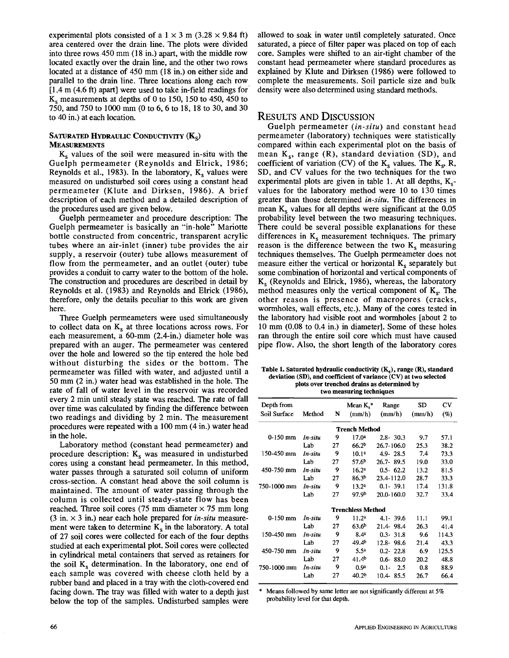experimental plots consisted of a  $1 \times 3$  m (3.28  $\times$  9.84 ft) area centered over the drain line. The plots were divided into three rows 450 mm (18 in.) apart, with the middle row located exactly over the drain line, and the other two rows located at a distance of 450 mm (18 in.) on either side and parallel to the drain line. Three locations along each row [1.4 m (4.6 ft) apart] were used to take in-field readings for  $K_s$  measurements at depths of 0 to 150, 150 to 450, 450 to 750, and 750 to 1000 mm (0 to 6, 6 to 18, 18 to 30, and 30 to 40 in.) at each location.

#### SATURATED HYDRAULIC CONDUCTIVITY  $(K_{s})$ **MEASUREMENTS**

 $K<sub>s</sub>$  values of the soil were measured in-situ with the Guelph permeameter (Reynolds and Elrick, 1986; Reynolds et al., 1983). In the laboratory,  $K_s$  values were measured on undisturbed soil cores using a constant head permeameter (Klute and Dirksen, 1986). A brief description of each method and a detailed description of the procedures used are given below.

Guelph permeameter and procedure description: The Guelph permeameter is basically an "in-hole" Mariotte bottle constructed from concentric, transparent acrylic tubes where an air-inlet (inner) tube provides the air supply, a reservoir (outer) tube allows measurement of flow from the permeameter, and an outlet (outer) tube provides a conduit to carry water to the bottom of the hole. The construction and procedures are described in detail by Reynolds et al. (1983) and Reynolds and Elrick (1986), therefore, only the details peculiar to this work are given here.

Three Guelph permeameters were used simultaneously to collect data on  $K_s$  at three locations across rows. For each measurement, a 60-mm (2.4-in.) diameter hole was prepared with an auger. The permeameter was centered over the hole and lowered so die tip entered the hole bed without disturbing the sides or the bottom. The permeameter was filled with water, and adjusted until a 50 mm (2 in.) water head was established in the hole. The rate of fall of water level in the reservoir was recorded every 2 min until steady state was reached. The rate of fall over time was calculated by finding the difference between two readings and dividing by 2 min. The measurement procedures were repeated with a 100 mm (4 in.) water head in the hole.

Laboratory method (constant head permeameter) and procedure description:  $K_s$  was measured in undisturbed cores using a constant head permeameter. In this method, water passes through a saturated soil column of uniform cross-section. A constant head above the soil column is maintained. The amount of water passing through the column is collected until steady-state flow has been reached. Three soil cores (75 mm diameter  $\times$  75 mm long (3 in. x 3 in.) near each hole prepared for *in-situ* measurement were taken to determine  $K_s$  in the laboratory. A total of 27 soil cores were collected for each of the four depths studied at each experimental plot. Soil cores were collected in cylindrical metal containers that served as retainers for the soil  $K<sub>s</sub>$  determination. In the laboratory, one end of each sample was covered with cheese cloth held by a rubber band and placed in a tray with the cloth-covered end facing down. The tray was filled with water to a depth just below the top of the samples. Undisturbed samples were

allowed to soak in water until completely saturated. Once saturated, a piece of filter paper was placed on top of each core. Samples were shifted to an air-tight chamber of the constant head permeameter where standard procedures as explained by Klute and Dirksen (1986) were followed to complete the measurements. Soil particle size and bulk density were also determined using standard methods.

## RESULTS AND DISCUSSION

Guelph permeameter *{in-situ)* and constant head permeameter (laboratory) techniques were statistically compared within each experimental plot on the basis of mean K<sub>s</sub>, range (R), standard deviation (SD), and coefficient of variation (CV) of the  $K_s$  values. The  $K_s$ , R, SD, and CV values for the two techniques for the two experimental plots are given in table 1. At all depths,  $K_s$ values for the laboratory method were 10 to 130 times greater than those determined *in-situ.* The differences in mean  $K_s$  values for all depths were significant at the  $0.05$ probability level between the two measuring techniques. There could be several possible explanations for these differences in  $K_s$  measurement techniques. The primary reason is the difference between the two  $K_s$  measuring techniques themselves. The Guelph permeameter does not measure either the vertical or horizontal  $K_s$  separately but some combination of horizontal and vertical components of  $K_s$  (Reynolds and Elrick, 1986), whereas, the laboratory method measures only the vertical component of  $K_s$ . The other reason is presence of macropores (cracks, wormholes, wall effects, etc.). Many of the cores tested in the laboratory had visible root and wormholes [about 2 to 10 mm (0.08 to 0.4 in.) in diameter]. Some of these holes ran through the entire soil core which must have caused pipe flow. Also, the short length of the laboratory cores

**Table 1. Saturated hydraulic conductivity (Kg), range (R), standard deviation (SD), and coefficient of variance (CV) at two selected plots over trenched drains as determined by two measuring techniques** 

| Depth from<br>Soil Surface | Method  | N  | Mean $K_s^*$<br>(mm/h) | Range<br>(mm/h) | SD<br>(mm/h) | CV<br>(%) |  |  |  |  |  |  |  |
|----------------------------|---------|----|------------------------|-----------------|--------------|-----------|--|--|--|--|--|--|--|
| <b>Trench Method</b>       |         |    |                        |                 |              |           |  |  |  |  |  |  |  |
| $0-150$ mm                 | In-situ | 9  | 17.0 <sup>a</sup>      | $2.8 - 30.3$    | 9.7          | 57.1      |  |  |  |  |  |  |  |
|                            | Lab     | 27 | 66.2 <sup>b</sup>      | 26.7-106.0      | 25.3         | 38.2      |  |  |  |  |  |  |  |
| 150-450 mm                 | In-situ | 9  | 10.1 <sup>a</sup>      | $4.9 - 28.5$    | 7.4          | 73.3      |  |  |  |  |  |  |  |
|                            | Lab     | 27 | 57.6 <sup>b</sup>      | $26.7 - 89.5$   | 19.0         | 33.0      |  |  |  |  |  |  |  |
| 450-750 mm                 | In-situ | 9  | 16.2 <sup>a</sup>      | $0.5 - 62.2$    | 13.2         | 81.5      |  |  |  |  |  |  |  |
|                            | Lab     | 27 | 86.3 <sup>b</sup>      | 23.4-112.0      | 28.7         | 33.3      |  |  |  |  |  |  |  |
| 750-1000 mm                | In-situ | 9  | 13.2 <sup>a</sup>      | $0.1 - 39.1$    | 17.4         | 131.8     |  |  |  |  |  |  |  |
|                            | Lab     | 27 | 97.9 <sup>b</sup>      | $20.0 - 160.0$  | 32.7         | 33.4      |  |  |  |  |  |  |  |
| <b>Trenchless Method</b>   |         |    |                        |                 |              |           |  |  |  |  |  |  |  |
| $0-150$ mm                 | In-situ | 9  | 11.2 <sup>a</sup>      | $4.1 - 39.6$    | 11.1         | 99.1      |  |  |  |  |  |  |  |
|                            | Lab     | 27 | 63.6 <sup>b</sup>      | 21.4 98.4       | 26.3         | 41.4      |  |  |  |  |  |  |  |
| 150-450 mm                 | In-situ | 9  | 8.4 <sup>a</sup>       | $0.3 - 31.8$    | 9.6          | 114.3     |  |  |  |  |  |  |  |
|                            | Lab     | 27 | 49.4 <sup>b</sup>      | $12.8 - 98.6$   | 21.4         | 43.3      |  |  |  |  |  |  |  |
| 450-750 mm                 | In-situ | 9  | 5.5 <sup>a</sup>       | $0.2 - 22.8$    | 6.9          | 125.5     |  |  |  |  |  |  |  |
|                            | Lab     | 27 | 41.4 <sup>b</sup>      | $0.6 - 88.0$    | 20.2         | 48.8      |  |  |  |  |  |  |  |
| 750-1000 mm                | In-situ | 9  | 0.9 <sup>a</sup>       | $0.1 -$<br>2.5  | 0.8          | 88.9      |  |  |  |  |  |  |  |
|                            | Lab     | 27 | 40.2 <sup>b</sup>      | 10.4 85.5       | 26.7         | 66.4      |  |  |  |  |  |  |  |

Means followed by same letter are not significantly different at  $5%$ probability level for that depth.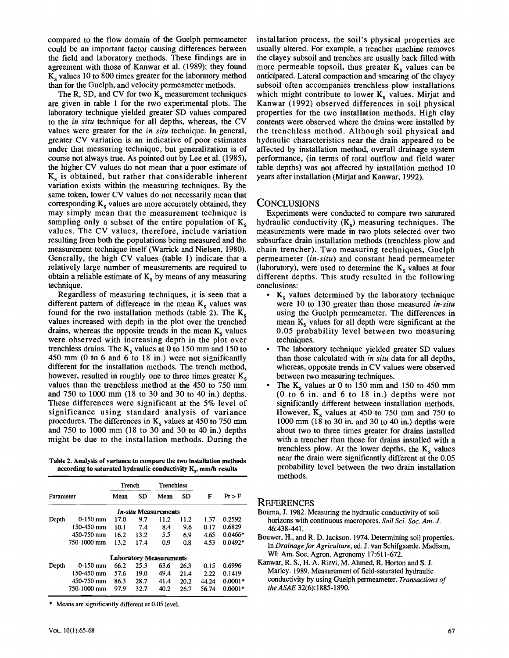compared to the flow domain of the Guelph permeameter could be an important factor causing differences between the field and laboratory methods. These findings are in agreement with those of Kanwar et al. (1989); they found  $\overline{K_s}$  values 10 to 800 times greater for the laboratory method than for the Guelph, and velocity permeameter methods.

The R, SD, and CV for two  $K_s$  measurement techniques are given in table 1 for the two experimental plots. The laboratory technique yielded greater SD values compared to the *in situ* technique for all depths, whereas, the CV values were greater for the *in situ* technique. In general, greater CV variation is an indicative of poor estimates under that measuring technique, but generalization is of course not always true. As pointed out by Lee et al. (1985), the higher CV values do not mean that a poor estimate of  $K_s$  is obtained, but rather that considerable inherent variation exists within the measuring techniques. By the same token, lower CV values do not necessarily mean that corresponding  $K_s$  values are more accurately obtained, they may simply mean that the measurement technique is sampling only a subset of the entire population of  $K_s$ values. The CV values, therefore, include variation resulting from both the populations being measured and the measurement technique itself (Warrick and Nielsen, 1980). Generally, the high CV values (table 1) indicate that a relatively large number of measurements are required to obtain a reliable estimate of  $K_s$  by means of any measuring technique.

Regardless of measuring techniques, it is seen that a different pattern of difference in the mean  $K_s$  values was found for the two installation methods (table 2). The  $K_s$ values increased with depth in the plot over the trenched drains, whereas the opposite trends in the mean  $K_s$  values were observed with increasing depth in the plot over trenchless drains. The  $K_s$  values at 0 to 150 mm and 150 to 450 mm (0 to 6 and 6 to 18 in.) were not significantly different for the installation methods. The trench method, however, resulted in roughly one to three times greater  $K_s$ values than the trenchless method at the 450 to 750 mm and 750 to 1000 mm (18 to 30 and 30 to 40 in.) depths. These differences were significant at the 5% level of significance using standard analysis of variance procedures. The differences in  $K_s$  values at 450 to 750 mm and 750 to 1000 mm (18 to 30 and 30 to 40 in.) depths might be due to the installation methods. During the

**Table 2. Analysis of variance to compare the two installation methods according to saturated hydraulic conductivity Kg, mm/h results** 

|           |             | Trench |      | <b>Trenchless</b>                  |      |       |           |
|-----------|-------------|--------|------|------------------------------------|------|-------|-----------|
| Parameter |             | Mean   | SD   | Mean                               | SD   | F     | $Pr$ > F  |
|           |             |        |      | <i><b>In-situ Measurements</b></i> |      |       |           |
| Depth     | $0-150$ mm  | 17.0   | 9.7  | 11.2                               | 11.2 | 1.37  | 0.2592    |
|           | 150-450 mm  | 10.1   | 7.4  | 8.4                                | 9.6  | 0.17  | 0.6829    |
|           | 450-750 mm  | 16.2   | 13.2 | 5.5                                | 6.9  | 4.65  | $0.0466*$ |
|           | 750-1000 mm | 13.2   | 17.4 | 0.9                                | 0.8  | 4.53  | $0.0492*$ |
|           |             |        |      | <b>Laboratory Measurements</b>     |      |       |           |
| Depth     | $0-150$ mm  | 66.2   | 25.3 | 63.6                               | 26.3 | 0.15  | 0.6996    |
|           | 150-450 mm  | 57.6   | 19.0 | 49.4                               | 21.4 | 2.22  | 0.1419    |
|           | 450-750 mm  | 86.3   | 28.7 | 41.4                               | 20.2 | 44.24 | $0.0001*$ |
|           | 750-1000 mm | 97.9   | 32.7 | 40.2                               | 26.7 | 56.74 | $0.0001*$ |

**\* Means are significantly different at 0.05 level.** 

installation process, the soil's physical properties are usually altered. For example, a trencher machine removes the clayey subsoil and trenches are usually back filled with more permeable topsoil, thus greater  $K_s$  values can be anticipated. Lateral compaction and smearing of the clayey subsoil often accompanies trenchless plow installations which might contribute to lower  $K_s$  values. Mirjat and Kanwar (1992) observed differences in soil physical properties for the two installation methods. High clay contents were observed where the drains were installed by the trenchless method. Although soil physical and hydraulic characteristics near the drain appeared to be affected by installation method, overall drainage system performance, (in terms of total outflow and field water table depths) was not affected by installation method 10 years after installation (Mirjat and Kanwar, 1992).

### **CONCLUSIONS**

Experiments were conducted to compare two saturated hydraulic conductivity  $(K<sub>s</sub>)$  measuring techniques. The measurements were made in two plots selected over two subsurface drain installation methods (trenchless plow and chain trencher). Two measuring techniques, Guelph permeameter *(in-situ)* and constant head permeameter (laboratory), were used to determine the  $K_s$  values at four different depths. This study resulted in the following conclusions:

- $\cdot$  K<sub>s</sub> values determined by the laboratory technique were 10 to 130 greater than those measured *in-situ*  using the Guelph permeameter. The differences in mean  $K_s$  values for all depth were significant at the 0.05 probability level between two measuring techniques.
- The laboratory technique yielded greater SD values than those calculated with *in situ* data for all depths, whereas, opposite trends in CV values were observed between two measuring techniques.
- The  $K_s$  values at 0 to 150 mm and 150 to 450 mm (0 to 6 in. and 6 to 18 in.) depths were not significantly different between installation methods. However,  $K_s$  values at 450 to 750 mm and 750 to 1000 mm (18 to 30 in. and 30 to 40 in.) depths were about two to three times greater for drains installed with a trencher than those for drains installed with a trenchless plow. At the lower depths, the  $K_s$  values near the drain were significantly different at the 0.05 probability level between the two drain installation methods.

#### **REFERENCES**

- **Bouma, J. 1982. Measuring the hydraulic conductivity of soil horizons with continuous macropores.** *Soil Sci. Soc. Am. J.*  **46:438-441.**
- **Bouwer, H., and R. D. Jackson. 1974. Determining soil properties. In** *Drainage for Agriculture,* **ed. J. van Schifgaarde. Madison, WI: Am. Soc. Agron. Agronomy 17:611-672.**
- **Kanwar, R. S., H. A. Rizvi, M. Ahmed, R. Horton and S. J. Marley. 1989. Measurement of field-saturated hydraulic conductivity by using Guelph permeameter.** *Transactions of theASAE* **32(6): 1885-1890.**